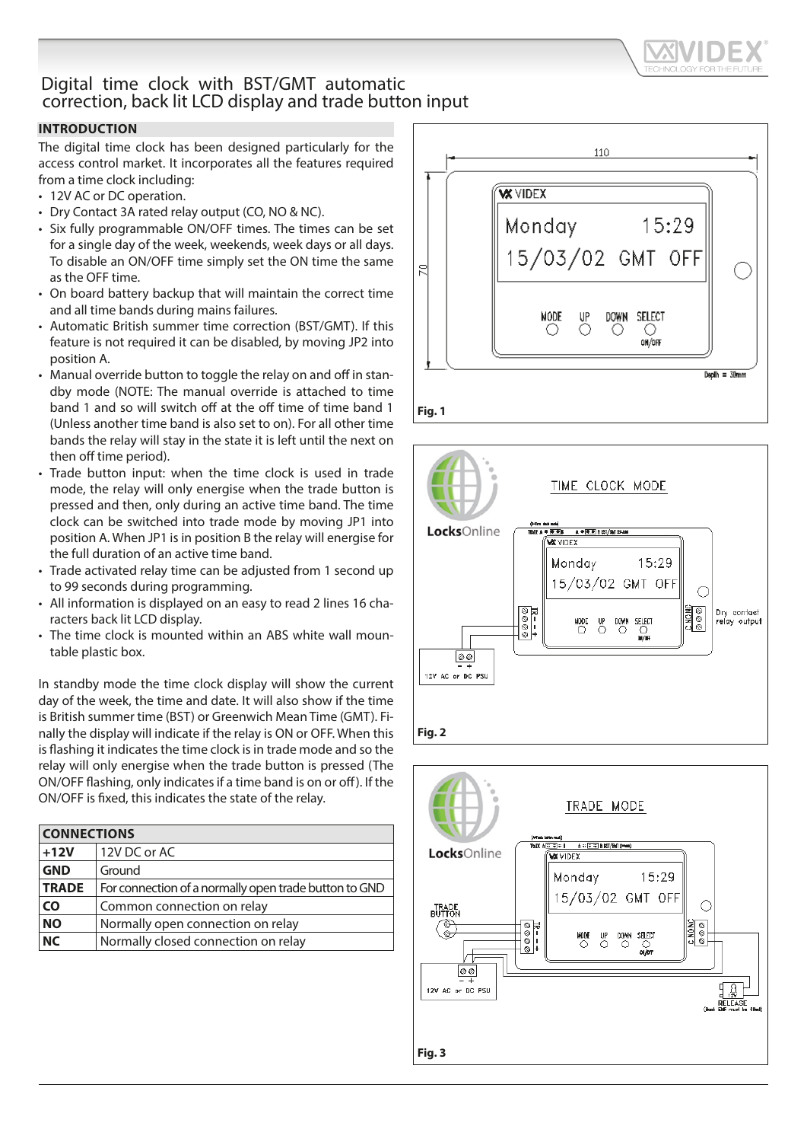

# Digital time clock with BST/GMT automatic correction, back lit LCD display and trade button input

## **INTRODUCTION**

The digital time clock has been designed particularly for the access control market. It incorporates all the features required from a time clock including:

- 12V AC or DC operation.
- Dry Contact 3A rated relay output (CO, NO & NC).
- Six fully programmable ON/OFF times. The times can be set for a single day of the week, weekends, week days or all days. To disable an ON/OFF time simply set the ON time the same as the OFF time.
- On board battery backup that will maintain the correct time and all time bands during mains failures.
- Automatic British summer time correction (BST/GMT). If this feature is not required it can be disabled, by moving JP2 into position A.
- Manual override button to toggle the relay on and off in standby mode (NOTE: The manual override is attached to time band 1 and so will switch off at the off time of time band 1 (Unless another time band is also set to on). For all other time bands the relay will stay in the state it is left until the next on then off time period).
- Trade button input: when the time clock is used in trade mode, the relay will only energise when the trade button is pressed and then, only during an active time band. The time clock can be switched into trade mode by moving JP1 into position A. When JP1 is in position B the relay will energise for the full duration of an active time band.
- Trade activated relay time can be adjusted from 1 second up to 99 seconds during programming.
- All information is displayed on an easy to read 2 lines 16 characters back lit LCD display.
- The time clock is mounted within an ABS white wall mountable plastic box.

In standby mode the time clock display will show the current day of the week, the time and date. It will also show if the time is British summer time (BST) or Greenwich Mean Time (GMT). Finally the display will indicate if the relay is ON or OFF. When this is flashing it indicates the time clock is in trade mode and so the relay will only energise when the trade button is pressed (The ON/OFF flashing, only indicates if a time band is on or off). If the ON/OFF is fixed, this indicates the state of the relay.

| <b>CONNECTIONS</b> |                                                       |
|--------------------|-------------------------------------------------------|
| $+12V$             | 12V DC or AC                                          |
| <b>GND</b>         | Ground                                                |
| <b>TRADE</b>       | For connection of a normally open trade button to GND |
| <b>CO</b>          | Common connection on relay                            |
| <b>NO</b>          | Normally open connection on relay                     |
| <b>NC</b>          | Normally closed connection on relay                   |